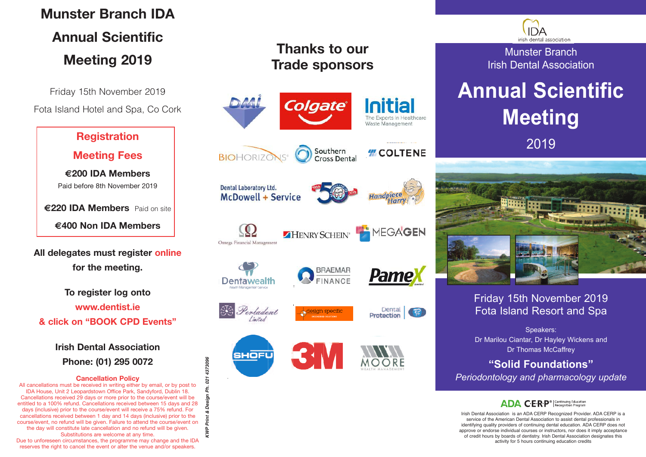## **Munster Branch IDA Annual Scientific Meeting 2019**

Friday 15th November 2019 Fota Island Hotel and Spa, Co Cork

### **Registration**

**Meeting Fees**

**€200 IDA Members** Paid before 8th November 2019

**€220 IDA Members** Paid on site **€400 Non IDA Members**

**All delegates must register online for the meeting.**

**To register log onto www.dentist.ie & click on "BOOK CPD Events"**

> **Irish Dental Association Phone: (01) 295 0072**

#### **Cancellation Policy**

All cancellations must be received in writing either by email, or by post to IDA House, Unit 2 Leopardstown Office Park, Sandyford, Dublin 18. Cancellations received 29 days or more prior to the course/event will be entitled to a 100% refund. Cancellations received between 15 days and 28 days (inclusive) prior to the course/event will receive a 75% refund. For cancellations received between 1 day and 14 days (inclusive) prior to the course/event, no refund will be given. Failure to attend the course/event on the day will constitute late cancellation and no refund will be given. Substitutions are welcome at any time. Due to unforeseen circumstances, the programme may change and the IDA reserves the right to cancel the event or alter the venue and/or speakers.

**K**

**WP Print & Design Ph. 021 4373096**

1373096  $21$ 

## **Thanks to our Trade sponsors**



irish dental association

Munster Branch Irish Dental Association

# **Annual Scientific Meeting** 2019



### Friday 15th November 2019 Fota Island Resort and Spa

Speakers: Dr Marilou Ciantar, Dr Hayley Wickens and Dr Thomas McCaffrey

### **"Solid Foundations"**

*Periodontology and pharmacology update*

### **ADA CERP<sup>®</sup>** Recognition Program

Irish Dental Association is an ADA CERP Recognized Provider. ADA CERP is a service of the American Dental Association to assist dental professionals in identifying quality providers of continuing dental education. ADA CERP does not approve or endorse individual courses or instructors, nor does it imply acceptance of credit hours by boards of dentistry. Irish Dental Association designates this activity for 5 hours continuing education credits